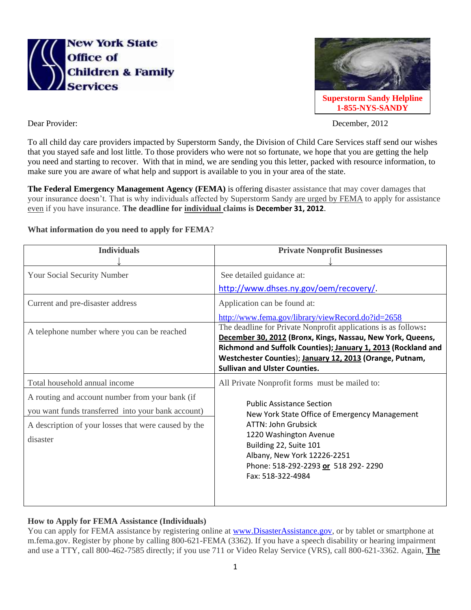



Dear Provider: December, 2012

To all child day care providers impacted by Superstorm Sandy, the Division of Child Care Services staff send our wishes that you stayed safe and lost little. To those providers who were not so fortunate, we hope that you are getting the help you need and starting to recover. With that in mind, we are sending you this letter, packed with resource information, to make sure you are aware of what help and support is available to you in your area of the state.

**The Federal Emergency Management Agency (FEMA)** is offering disaster assistance that may cover damages that your insurance doesn't. That is why individuals affected by Superstorm Sandy are urged by FEMA to apply for assistance even if you have insurance. **The deadline for individual claims is December 31, 2012**.

## **What information do you need to apply for FEMA**?

| <b>Individuals</b>                                                                                                                                                                                         | <b>Private Nonprofit Businesses</b>                                                                                                                                                                                                                                                                              |
|------------------------------------------------------------------------------------------------------------------------------------------------------------------------------------------------------------|------------------------------------------------------------------------------------------------------------------------------------------------------------------------------------------------------------------------------------------------------------------------------------------------------------------|
| <b>Your Social Security Number</b><br>Current and pre-disaster address<br>A telephone number where you can be reached                                                                                      | See detailed guidance at:<br>http://www.dhses.ny.gov/oem/recovery/.<br>Application can be found at:<br>http://www.fema.gov/library/viewRecord.do?id=2658<br>The deadline for Private Nonprofit applications is as follows:                                                                                       |
|                                                                                                                                                                                                            | December 30, 2012 (Bronx, Kings, Nassau, New York, Queens,<br>Richmond and Suffolk Counties); January 1, 2013 (Rockland and<br>Westchester Counties); January 12, 2013 (Orange, Putnam,<br><b>Sullivan and Ulster Counties.</b>                                                                                  |
| Total household annual income<br>A routing and account number from your bank (if<br>you want funds transferred into your bank account)<br>A description of your losses that were caused by the<br>disaster | All Private Nonprofit forms must be mailed to:<br><b>Public Assistance Section</b><br>New York State Office of Emergency Management<br><b>ATTN: John Grubsick</b><br>1220 Washington Avenue<br>Building 22, Suite 101<br>Albany, New York 12226-2251<br>Phone: 518-292-2293 or 518 292-2290<br>Fax: 518-322-4984 |

## **How to Apply for FEMA Assistance (Individuals)**

You can apply for FEMA assistance by registering online at [www.DisasterAssistance.gov,](http://www.disasterassistance.gov/) or by tablet or smartphone at m.fema.gov. Register by phone by calling 800-621-FEMA (3362). If you have a speech disability or hearing impairment and use a TTY, call 800-462-7585 directly; if you use 711 or Video Relay Service (VRS), call 800-621-3362. Again, **The**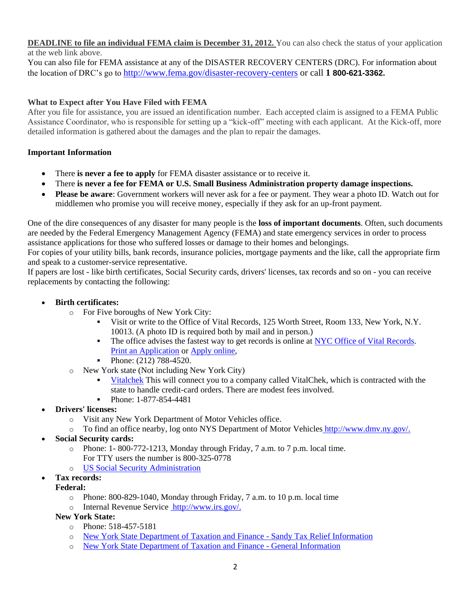#### **DEADLINE to file an individual FEMA claim is December 31, 2012.** You can also check the status of your application at the web link above.

You can also file for FEMA assistance at any of the DISASTER RECOVERY CENTERS (DRC). For information about the location of DRC's go to <http://www.fema.gov/disaster-recovery-centers> or call **1 800-621-3362.**

# **What to Expect after You Have Filed with FEMA**

After you file for assistance, you are issued an identification number. Each accepted claim is assigned to a FEMA Public Assistance Coordinator, who is responsible for setting up a "kick-off" meeting with each applicant. At the Kick-off, more detailed information is gathered about the damages and the plan to repair the damages.

## **Important Information**

- There **is never a fee to apply** for FEMA disaster assistance or to receive it.
- There **is never a fee for FEMA or U.S. Small Business Administration property damage inspections.**
- **Please be aware**: Government workers will never ask for a fee or payment. They wear a photo ID. Watch out for middlemen who promise you will receive money, especially if they ask for an up-front payment.

One of the dire consequences of any disaster for many people is the **loss of important documents**. Often, such documents are needed by the Federal Emergency Management Agency (FEMA) and state emergency services in order to process assistance applications for those who suffered losses or damage to their homes and belongings.

For copies of your utility bills, bank records, insurance policies, mortgage payments and the like, call the appropriate firm and speak to a customer-service representative.

If papers are lost - like birth certificates, Social Security cards, drivers' licenses, tax records and so on - you can receive replacements by contacting the following:

## **Birth certificates:**

- o For Five boroughs of New York City:
	- Visit or write to the Office of Vital Records, 125 Worth Street, Room 133, New York, N.Y. 10013. (A photo ID is required both by mail and in person.)
	- The office advises the fastest way to get records is online at [NYC Office of Vital Records.](http://www.nyc.gov/vitalrecords) [Print an Application](http://home2.nyc.gov/html/doh/downloads/pdf/vr/birth1.pdf) or [Apply online,](http://www.nyc.gov/vitalrecords)
	- Phone:  $(212)$  788-4520.
- o New York state (Not including New York City)
	- [Vitalchek](http://www.vitalchek.com/) This will connect you to a company called VitalChek, which is contracted with the state to handle credit-card orders. There are modest fees involved.
	- Phone: 1-877-854-4481
- **Drivers' licenses:**
	- o Visit any New York Department of Motor Vehicles office.
	- To find an office nearby, log onto [NYS Department of Motor Vehicles](http://www.dhses.ny.gov/oem/event/sandy/www.nydmv.state.ny.us/offices.htm) http://www.dmv.ny.gov/.
- **Social Security cards:**
	- o Phone: 1- 800-772-1213, Monday through Friday, 7 a.m. to 7 p.m. local time.
		- For TTY users the number is 800-325-0778
	- o [US Social Security Administration](http://www.ssa.gov/ssnumber/)
- **Tax records:**
	- **Federal:**
		- o Phone: 800-829-1040, Monday through Friday, 7 a.m. to 10 p.m. local time
		- o [Internal Revenue Service](Internal%20Revenue%20Service) [http://www.irs.gov/.](http://www.irs.gov/)
	- **New York State:**
		- o Phone: 518-457-5181
		- o [New York State Department of Taxation and Finance -](http://www.tax.ny.gov/bus/multi/sandy_relief.htm) Sandy Tax Relief Information
		- o [New York State Department of Taxation and Finance -](http://www.tax.ny.gov/) General Information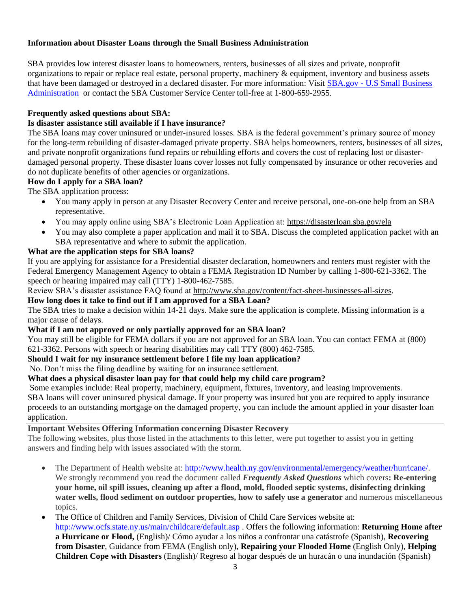## **Information about Disaster Loans through the Small Business Administration**

SBA provides low interest disaster loans to homeowners, renters, businesses of all sizes and private, nonprofit organizations to repair or replace real estate, personal property, machinery & equipment, inventory and business assets that have been damaged or destroyed in a declared disaster. For more information: Visit SBA.gov - [U.S Small Business](http://www.sba.gov/category/navigation-structure/loans-grants/small-business-loans/disaster-loans)  [Administration](http://www.sba.gov/category/navigation-structure/loans-grants/small-business-loans/disaster-loans) or contact the SBA Customer Service Center toll-free at 1-800-659-2955.

### **Frequently asked questions about SBA:**

#### **Is disaster assistance still available if I have insurance?**

The SBA loans may cover uninsured or under-insured losses. SBA is the federal government's primary source of money for the long-term rebuilding of disaster-damaged private property. SBA helps homeowners, renters, businesses of all sizes, and private nonprofit organizations fund repairs or rebuilding efforts and covers the cost of replacing lost or disasterdamaged personal property. These disaster loans cover losses not fully compensated by insurance or other recoveries and do not duplicate benefits of other agencies or organizations.

#### **How do I apply for a SBA loan?**

The SBA application process:

- You many apply in person at any Disaster Recovery Center and receive personal, one-on-one help from an SBA representative.
- You may apply online using SBA's Electronic Loan Application at: https://disasterloan.sba.gov/ela
- You may also complete a paper application and mail it to SBA. Discuss the completed application packet with an SBA representative and where to submit the application.

## **What are the application steps for SBA loans?**

If you are applying for assistance for a Presidential disaster declaration, homeowners and renters must register with the Federal Emergency Management Agency to obtain a FEMA Registration ID Number by calling 1-800-621-3362. The speech or hearing impaired may call (TTY) 1-800-462-7585.

Review SBA's disaster assistance FAQ found at http://www.sba.gov/content/fact-sheet-businesses-all-sizes.

## **How long does it take to find out if I am approved for a SBA Loan?**

The SBA tries to make a decision within 14-21 days. Make sure the application is complete. Missing information is a major cause of delays.

#### **What if I am not approved or only partially approved for an SBA loan?**

You may still be eligible for FEMA dollars if you are not approved for an SBA loan. You can contact FEMA at (800) 621-3362. Persons with speech or hearing disabilities may call TTY (800) 462-7585.

#### **Should I wait for my insurance settlement before I file my loan application?**

No. Don't miss the filing deadline by waiting for an insurance settlement.

### **What does a physical disaster loan pay for that could help my child care program?**

Some examples include: Real property, machinery, equipment, fixtures, inventory, and leasing improvements. SBA loans will cover uninsured physical damage. If your property was insured but you are required to apply insurance proceeds to an outstanding mortgage on the damaged property, you can include the amount applied in your disaster loan application.

#### **Important Websites Offering Information concerning Disaster Recovery**

The following websites, plus those listed in the attachments to this letter, were put together to assist you in getting answers and finding help with issues associated with the storm.

- The Department of Health website at: [http://www.health.ny.gov/environmental/emergency/weather/hurricane/.](http://www.health.ny.gov/environmental/emergency/weather/hurricane/) We strongly recommend you read the document called *Frequently Asked Questions* which covers**: Re-entering your home, oil spill issues, cleaning up after a flood, mold, flooded septic systems, disinfecting drinking water wells, flood sediment on outdoor properties, how to safely use a generator** and numerous miscellaneous topics.
- The Office of Children and Family Services, Division of Child Care Services website at: <http://www.ocfs.state.ny.us/main/childcare/default.asp> . Offers the following information: **[Returning Home after](http://www.ocfs.state.ny.us/main/childcare/emergency_planning/Returning%20Home%20After%20Hurricane%20or%20Flood.pdf)  [a Hurricane or Flood,](http://www.ocfs.state.ny.us/main/childcare/emergency_planning/Returning%20Home%20After%20Hurricane%20or%20Flood.pdf)** (English)/ [Cómo ayudar a los niños a confrontar una catástrofe](http://www.ocfs.state.ny.us/main/childcare/emergency_planning/Como%20ayudar%20a%20los%20ninos%20a%20confrontar%20una%20catastrofe.pdf) (Spanish), **[Recovering](http://www.ocfs.state.ny.us/main/childcare/emergency_planning/recovering_from_disasterFEMA.pdf)  from Disaster**[, Guidance from FEMA](http://www.ocfs.state.ny.us/main/childcare/emergency_planning/recovering_from_disasterFEMA.pdf) (English only), **[Repairing your Flooded Home](http://www.ocfs.state.ny.us/main/childcare/emergency_planning/Repairing%20Your%20Flooded%20Home%20Red%20Cross.pdf)** (English Only), **[Helping](http://www.ocfs.state.ny.us/main/childcare/emergency_planning/Helping%20Children%20Cope%20with%20Disasters.pdf)  [Children Cope with Disasters](http://www.ocfs.state.ny.us/main/childcare/emergency_planning/Helping%20Children%20Cope%20with%20Disasters.pdf)** (English)/ [Regreso al hogar después de un huracán o una inundación](http://www.ocfs.state.ny.us/main/childcare/emergency_planning/Regreso%20al%20hogar%20despues%20de%20un%20huracan%20o%20una%20inundacion.pdf) (Spanish)